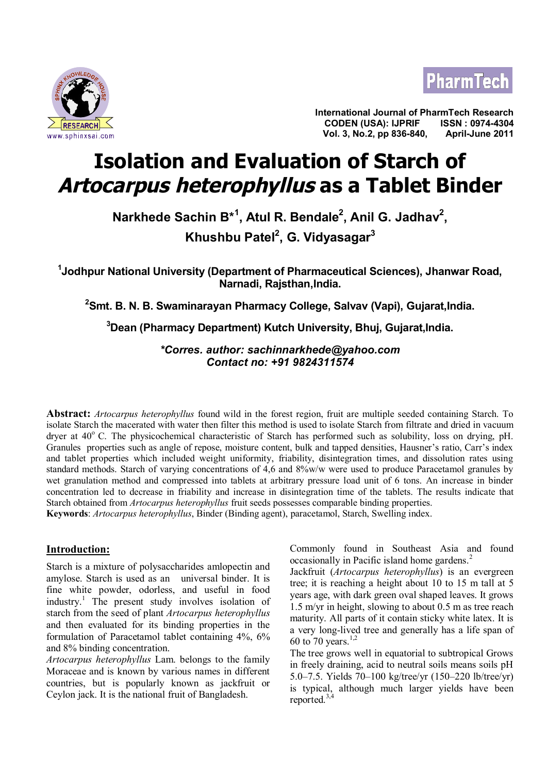



**International Journal of PharmTech Research CODEN (USA): IJPRIF ISSN : 0974-4304 Vol. 3, No.2, pp 836-840, April-June 2011**

# **Isolation and Evaluation of Starch of Artocarpus heterophyllus as a Tablet Binder**

**Narkhede Sachin B\*<sup>1</sup> , Atul R. Bendale<sup>2</sup> , Anil G. Jadhav<sup>2</sup> , Khushbu Patel<sup>2</sup> , G. Vidyasagar<sup>3</sup>**

**1 Jodhpur National University (Department of Pharmaceutical Sciences), Jhanwar Road, Narnadi, Rajsthan,India.**

**<sup>2</sup>Smt. B. N. B. Swaminarayan Pharmacy College, Salvav (Vapi), Gujarat,India.**

**<sup>3</sup>Dean (Pharmacy Department) Kutch University, Bhuj, Gujarat,India.**

*\*Corres. author: sachinnarkhede@yahoo.com Contact no: +91 9824311574*

**Abstract:** *Artocarpus heterophyllus* found wild in the forest region, fruit are multiple seeded containing Starch. To isolate Starch the macerated with water then filter this method is used to isolate Starch from filtrate and dried in vacuum dryer at  $40^{\circ}$  C. The physicochemical characteristic of Starch has performed such as solubility, loss on drying, pH. Granules properties such as angle of repose, moisture content, bulk and tapped densities, Hausner's ratio, Carr's index and tablet properties which included weight uniformity, friability, disintegration times, and dissolution rates using standard methods. Starch of varying concentrations of 4,6 and 8%w/w were used to produce Paracetamol granules by wet granulation method and compressed into tablets at arbitrary pressure load unit of 6 tons. An increase in binder concentration led to decrease in friability and increase in disintegration time of the tablets. The results indicate that Starch obtained from *Artocarpus heterophyllus* fruit seeds possesses comparable binding properties.

**Keywords**: *Artocarpus heterophyllus*, Binder (Binding agent), paracetamol, Starch, Swelling index.

# **Introduction:**

Starch is a mixture of polysaccharides amlopectin and amylose. Starch is used as an universal binder. It is fine white powder, odorless, and useful in food industry.<sup>1</sup> The present study involves isolation of starch from the seed of plant *Artocarpus heterophyllus* and then evaluated for its binding properties in the formulation of Paracetamol tablet containing 4%, 6% and 8% binding concentration.

*Artocarpus heterophyllus* Lam. belongs to the family Moraceae and is known by various names in different countries, but is popularly known as jackfruit or Ceylon jack. It is the national fruit of Bangladesh.

Commonly found in Southeast Asia and found occasionally in Pacific island home gardens.<sup>2</sup>

Jackfruit (*Artocarpus heterophyllus*) is an evergreen tree; it is reaching a height about 10 to 15 m tall at 5 years age, with dark green oval shaped leaves. It grows 1.5 m/yr in height, slowing to about 0.5 m as tree reach maturity. All parts of it contain sticky white latex. It is a very long-lived tree and generally has a life span of 60 to 70 years.<sup>1,2</sup>

The tree grows well in equatorial to subtropical Grows in freely draining, acid to neutral soils means soils pH 5.0–7.5. Yields 70–100 kg/tree/yr (150–220 lb/tree/yr) is typical, although much larger yields have been reported. $3,4$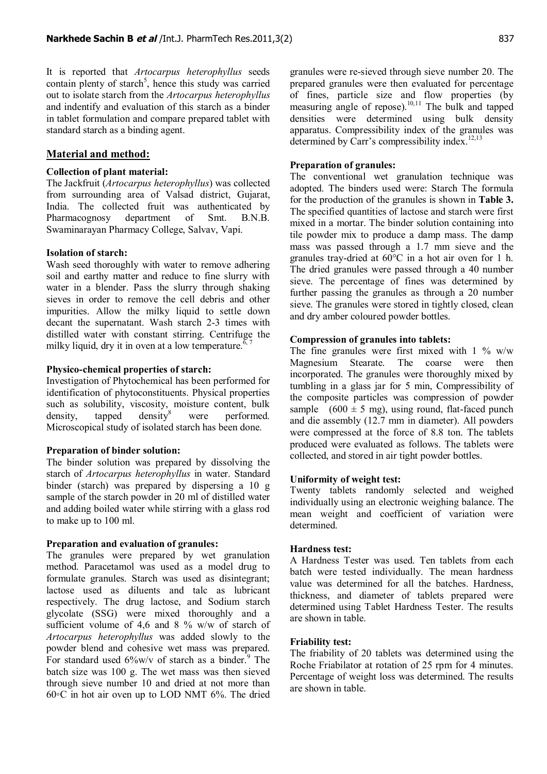It is reported that *Artocarpus heterophyllus* seeds contain plenty of starch<sup>5</sup>, hence this study was carried out to isolate starch from the *Artocarpus heterophyllus* and indentify and evaluation of this starch as a binder in tablet formulation and compare prepared tablet with standard starch as a binding agent.

### **Material and method:**

#### **Collection of plant material:**

The Jackfruit (*Artocarpus heterophyllus*) was collected from surrounding area of Valsad district, Gujarat, India. The collected fruit was authenticated by Pharmacognosy department of Smt. B.N.B. Swaminarayan Pharmacy College, Salvav, Vapi.

### **Isolation of starch:**

Wash seed thoroughly with water to remove adhering soil and earthy matter and reduce to fine slurry with water in a blender. Pass the slurry through shaking sieves in order to remove the cell debris and other impurities. Allow the milky liquid to settle down decant the supernatant. Wash starch 2-3 times with distilled water with constant stirring. Centrifuge the milky liquid, dry it in oven at a low temperature.<sup>6, 7</sup>

#### **Physico-chemical properties of starch:**

Investigation of Phytochemical has been performed for identification of phytoconstituents. Physical properties such as solubility, viscosity, moisture content, bulk density, tapped density $\delta$  were performed. Microscopical study of isolated starch has been done.

#### **Preparation of binder solution:**

The binder solution was prepared by dissolving the starch of *Artocarpus heterophyllus* in water. Standard binder (starch) was prepared by dispersing a 10 g sample of the starch powder in 20 ml of distilled water and adding boiled water while stirring with a glass rod to make up to 100 ml.

#### **Preparation and evaluation of granules:**

The granules were prepared by wet granulation method. Paracetamol was used as a model drug to formulate granules. Starch was used as disintegrant; lactose used as diluents and talc as lubricant respectively. The drug lactose, and Sodium starch glycolate (SSG) were mixed thoroughly and a sufficient volume of 4,6 and 8 % w/w of starch of *Artocarpus heterophyllus* was added slowly to the powder blend and cohesive wet mass was prepared. For standard used  $6\%$ w/v of starch as a binder.<sup>9</sup> The batch size was 100 g. The wet mass was then sieved through sieve number 10 and dried at not more than 60◦C in hot air oven up to LOD NMT 6%. The dried

granules were re-sieved through sieve number 20. The prepared granules were then evaluated for percentage of fines, particle size and flow properties (by measuring angle of repose).<sup>10,11</sup> The bulk and tapped densities were determined using bulk density apparatus. Compressibility index of the granules was determined by Carr's compressibility index.<sup>12,13</sup>

# **Preparation of granules:**

The conventional wet granulation technique was adopted. The binders used were: Starch The formula for the production of the granules is shown in **Table 3.** The specified quantities of lactose and starch were first mixed in a mortar. The binder solution containing into tile powder mix to produce a damp mass. The damp mass was passed through a 1.7 mm sieve and the granules tray-dried at 60°C in a hot air oven for 1 h. The dried granules were passed through a 40 number sieve. The percentage of fines was determined by further passing the granules as through a 20 number sieve. The granules were stored in tightly closed, clean and dry amber coloured powder bottles.

#### **Compression of granules into tablets:**

The fine granules were first mixed with  $1\%$  w/w Magnesium Stearate. The coarse were then incorporated. The granules were thoroughly mixed by tumbling in a glass jar for 5 min, Compressibility of the composite particles was compression of powder sample  $(600 \pm 5 \text{ mg})$ , using round, flat-faced punch and die assembly (12.7 mm in diameter). All powders were compressed at the force of 8.8 ton. The tablets produced were evaluated as follows. The tablets were collected, and stored in air tight powder bottles.

#### **Uniformity of weight test:**

Twenty tablets randomly selected and weighed individually using an electronic weighing balance. The mean weight and coefficient of variation were determined.

# **Hardness test:**

A Hardness Tester was used. Ten tablets from each batch were tested individually. The mean hardness value was determined for all the batches. Hardness, thickness, and diameter of tablets prepared were determined using Tablet Hardness Tester. The results are shown in table.

#### **Friability test:**

The friability of 20 tablets was determined using the Roche Friabilator at rotation of 25 rpm for 4 minutes. Percentage of weight loss was determined. The results are shown in table.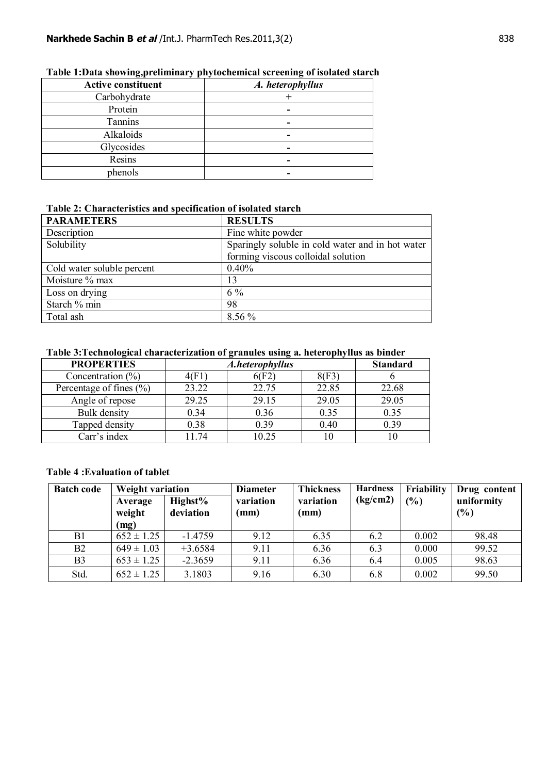| <b>Active constituent</b> | A. heterophyllus |
|---------------------------|------------------|
| Carbohydrate              |                  |
| Protein                   |                  |
| Tannins                   |                  |
| Alkaloids                 |                  |
| Glycosides                | -                |
| Resins                    |                  |
| phenols                   |                  |

# **Table 1:Data showing,preliminary phytochemical screening of isolated starch**

# **Table 2: Characteristics and specification of isolated starch**

| <b>PARAMETERS</b>          | <b>RESULTS</b>                                   |
|----------------------------|--------------------------------------------------|
| Description                | Fine white powder                                |
| Solubility                 | Sparingly soluble in cold water and in hot water |
|                            | forming viscous colloidal solution               |
| Cold water soluble percent | 0.40%                                            |
| Moisture % max             | 13                                               |
| Loss on drying             | $6\%$                                            |
| Starch % min               | 98                                               |
| Total ash                  | 8.56 %                                           |

# **Table 3:Technological characterization of granules using a. heterophyllus as binder**

| <b>PROPERTIES</b>           | A.heterophyllus | <b>Standard</b> |       |       |
|-----------------------------|-----------------|-----------------|-------|-------|
| Concentration $(\% )$       | 40F 1           | 6(F2)           | 8(F3) |       |
| Percentage of fines $(\% )$ | 23.22           | 22.75           | 22.85 | 22.68 |
| Angle of repose             | 29.25           | 29.15           | 29.05 | 29.05 |
| Bulk density                | 0.34            | 0.36            | 0.35  | 0.35  |
| Tapped density              | 0.38            | 0.39            | 0.40  | 0.39  |
| Carr's index                | 11.74           | 10.25           |       |       |

# **Table 4 :Evaluation of tablet**

| <b>Batch code</b> | <b>Weight variation</b>   |                      | <b>Diameter</b>   | <b>Thickness</b>  | <b>Hardness</b> | Friability    | Drug content      |
|-------------------|---------------------------|----------------------|-------------------|-------------------|-----------------|---------------|-------------------|
|                   | Average<br>weight<br>(mg) | Highst%<br>deviation | variation<br>(mm) | variation<br>(mm) | (kg/cm2)        | $\frac{9}{6}$ | uniformity<br>(%) |
| B1                | $652 \pm 1.25$            | $-1.4759$            | 9.12              | 6.35              | 6.2             | 0.002         | 98.48             |
| B <sub>2</sub>    | $649 \pm 1.03$            | $+3.6584$            | 9.11              | 6.36              | 6.3             | 0.000         | 99.52             |
| B <sub>3</sub>    | $653 \pm 1.25$            | $-2.3659$            | 9.11              | 6.36              | 6.4             | 0.005         | 98.63             |
| Std.              | $652 \pm 1.25$            | 3.1803               | 9.16              | 6.30              | 6.8             | 0.002         | 99.50             |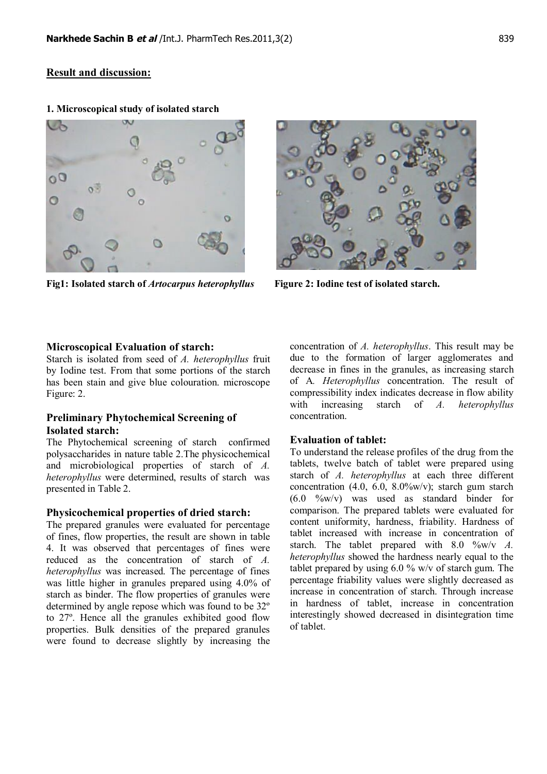# **Result and discussion:**



**Fig1: Isolated starch of** *Artocarpus heterophyllus* **Figure 2: Iodine test of isolated starch.**

### **Microscopical Evaluation of starch:**

Starch is isolated from seed of *A. heterophyllus* fruit by Iodine test. From that some portions of the starch has been stain and give blue colouration. microscope Figure: 2.

# **Preliminary Phytochemical Screening of Isolated starch:**

The Phytochemical screening of starch confirmed polysaccharides in nature table 2.The physicochemical and microbiological properties of starch of *A. heterophyllus* were determined, results of starch was presented in Table 2.

#### **Physicochemical properties of dried starch:**

The prepared granules were evaluated for percentage of fines, flow properties, the result are shown in table 4. It was observed that percentages of fines were reduced as the concentration of starch of *A. heterophyllus* was increased. The percentage of fines was little higher in granules prepared using 4.0% of starch as binder. The flow properties of granules were determined by angle repose which was found to be 32º to 27º. Hence all the granules exhibited good flow properties. Bulk densities of the prepared granules were found to decrease slightly by increasing the concentration of *A. heterophyllus*. This result may be due to the formation of larger agglomerates and decrease in fines in the granules, as increasing starch of A*. Heterophyllus* concentration. The result of compressibility index indicates decrease in flow ability with increasing starch of *A. heterophyllus* concentration.

# **Evaluation of tablet:**

To understand the release profiles of the drug from the tablets, twelve batch of tablet were prepared using starch of *A. heterophyllus* at each three different concentration (4.0, 6.0, 8.0%w/v); starch gum starch (6.0 %w/v) was used as standard binder for comparison. The prepared tablets were evaluated for content uniformity, hardness, friability. Hardness of tablet increased with increase in concentration of starch. The tablet prepared with 8.0 %w/v *A. heterophyllus* showed the hardness nearly equal to the tablet prepared by using 6.0 % w/v of starch gum. The percentage friability values were slightly decreased as increase in concentration of starch. Through increase in hardness of tablet, increase in concentration interestingly showed decreased in disintegration time of tablet.